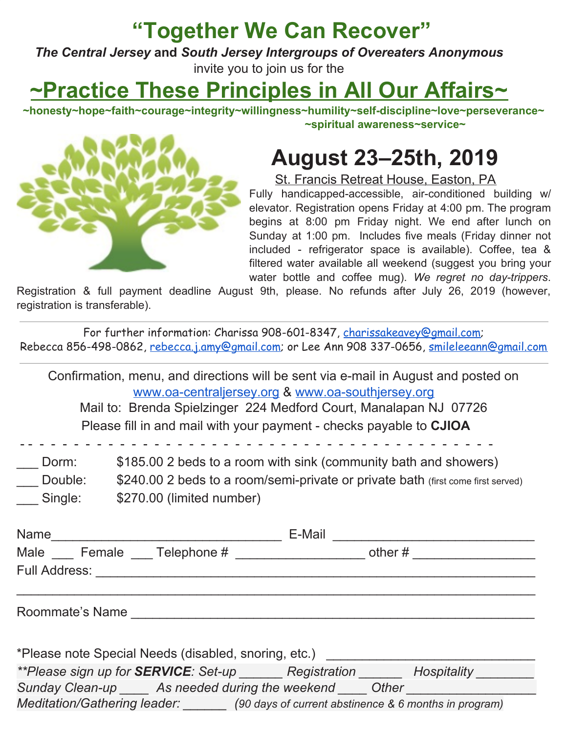#### **"Together We Can Recover"**

*The Central Jersey* **and** *South Jersey Intergroups of Overeaters Anonymous* invite you to join us for the

### **~Practice These Principles in All Our Affairs~**

**~honesty~hope~faith~courage~integrity~willingness~humility~self-discipline~love~perseverance~ ~spiritual awareness~service~**

#### **August 23–25th, 2019**

St. Francis Retreat House, Easton, PA

Fully handicapped-accessible, air-conditioned building w/ elevator. Registration opens Friday at 4:00 pm. The program begins at 8:00 pm Friday night. We end after lunch on Sunday at 1:00 pm. Includes five meals (Friday dinner not included - refrigerator space is available). Coffee, tea & filtered water available all weekend (suggest you bring your water bottle and coffee mug). *We regret no day-trippers*.

Registration & full payment deadline August 9th, please. No refunds after July 26, 2019 (however, registration is transferable).

For further information: Charissa 908-601-8347, [charissakeavey@gmail.com](mailto:charissakeavey@gmail.com); Rebecca 856-498-0862, [rebecca.j.amy@gmail.com](mailto:rebecca.j.amy@gmail.com); or Lee Ann 908 337-0656, [smileleeann@gmail.com](mailto:smileleeann@gmail.com)

Confirmation, menu, and directions will be sent via e-mail in August and posted on [www.oa-centraljersey.org](http://www.oa-centraljersey.org/) & [www.oa-southjersey.org](http://www.oa-southjersey.org/) Mail to: Brenda Spielzinger 224 Medford Court, Manalapan NJ 07726 Please fill in and mail with your payment - checks payable to **CJIOA** - - - - - - - - - - - - - - - - - - - - - - - - - - - - - - - - - - - - - - - - - - \_\_\_ Dorm: \$185.00 2 beds to a room with sink (community bath and showers) \_\_\_ Double: \$240.00 2 beds to a room/semi-private or private bath (first come first served) \_\_\_ Single: \$270.00 (limited number) Name\_\_\_\_\_\_\_\_\_\_\_\_\_\_\_\_\_\_\_\_\_\_\_\_\_\_\_\_\_\_\_\_ E-Mail \_\_\_\_\_\_\_\_\_\_\_\_\_\_\_\_\_\_\_\_\_\_\_\_\_\_\_\_ Male \_\_\_ Female \_\_\_ Telephone # \_\_\_\_\_\_\_\_\_\_\_\_\_\_\_\_\_\_\_ other # \_\_\_\_\_\_\_\_\_\_\_\_\_\_\_\_\_\_\_\_ Full Address: **Example 20**  $\_$  ,  $\_$  ,  $\_$  ,  $\_$  ,  $\_$  ,  $\_$  ,  $\_$  ,  $\_$  ,  $\_$  ,  $\_$  ,  $\_$  ,  $\_$  ,  $\_$  ,  $\_$  ,  $\_$  ,  $\_$  ,  $\_$  ,  $\_$  ,  $\_$  ,  $\_$  ,  $\_$  ,  $\_$  ,  $\_$  ,  $\_$  ,  $\_$  ,  $\_$  ,  $\_$  ,  $\_$  ,  $\_$  ,  $\_$  ,  $\_$  ,  $\_$  ,  $\_$  ,  $\_$  ,  $\_$  ,  $\_$  ,  $\_$  , Roommate's Name **Example 2008** \*Please note Special Needs (disabled, snoring, etc.) *\*\*Please sign up for SERVICE: Set-up \_\_\_\_\_\_ Registration \_\_\_\_\_\_ Hospitality \_\_\_\_\_\_\_\_ Sunday Clean-up \_\_\_\_ As needed during the weekend \_\_\_\_ Other \_\_\_\_\_\_\_\_\_\_\_\_\_\_\_\_\_\_ Meditation/Gathering leader: \_\_\_\_\_\_ (90 days of current abstinence & 6 months in program)*